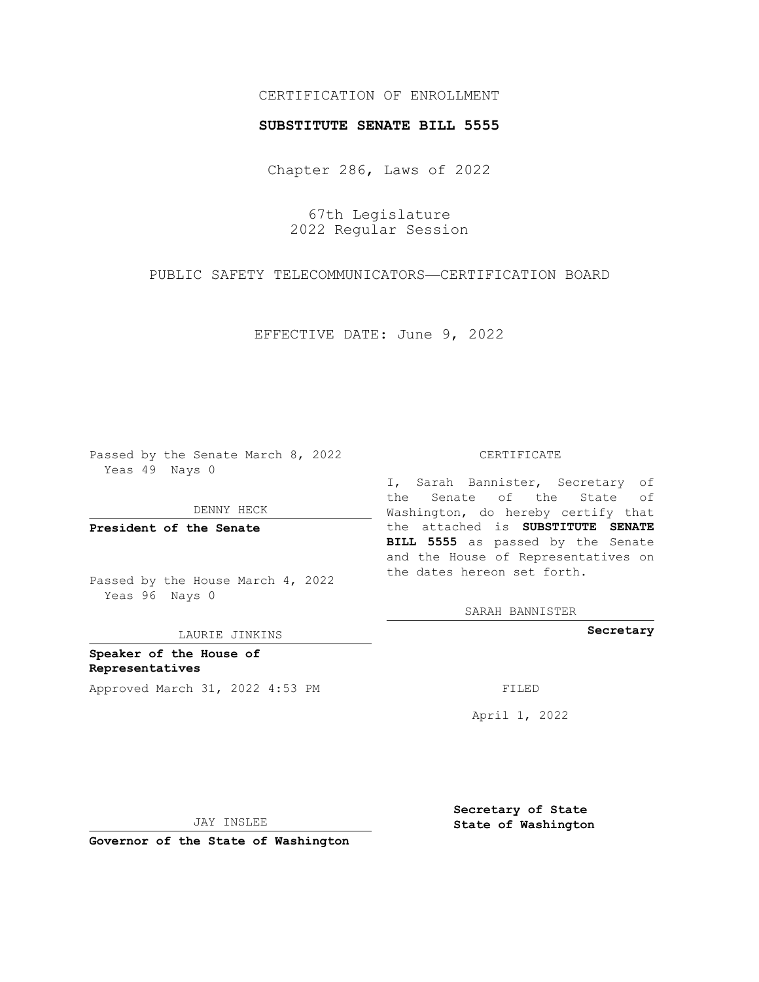## CERTIFICATION OF ENROLLMENT

## **SUBSTITUTE SENATE BILL 5555**

Chapter 286, Laws of 2022

67th Legislature 2022 Regular Session

PUBLIC SAFETY TELECOMMUNICATORS—CERTIFICATION BOARD

EFFECTIVE DATE: June 9, 2022

Passed by the Senate March 8, 2022 Yeas 49 Nays 0

DENNY HECK

**President of the Senate**

Passed by the House March 4, 2022 Yeas 96 Nays 0

LAURIE JINKINS

**Speaker of the House of Representatives** Approved March 31, 2022 4:53 PM FILED

#### CERTIFICATE

I, Sarah Bannister, Secretary of the Senate of the State of Washington, do hereby certify that the attached is **SUBSTITUTE SENATE BILL 5555** as passed by the Senate and the House of Representatives on the dates hereon set forth.

SARAH BANNISTER

**Secretary**

April 1, 2022

JAY INSLEE

**Governor of the State of Washington**

**Secretary of State State of Washington**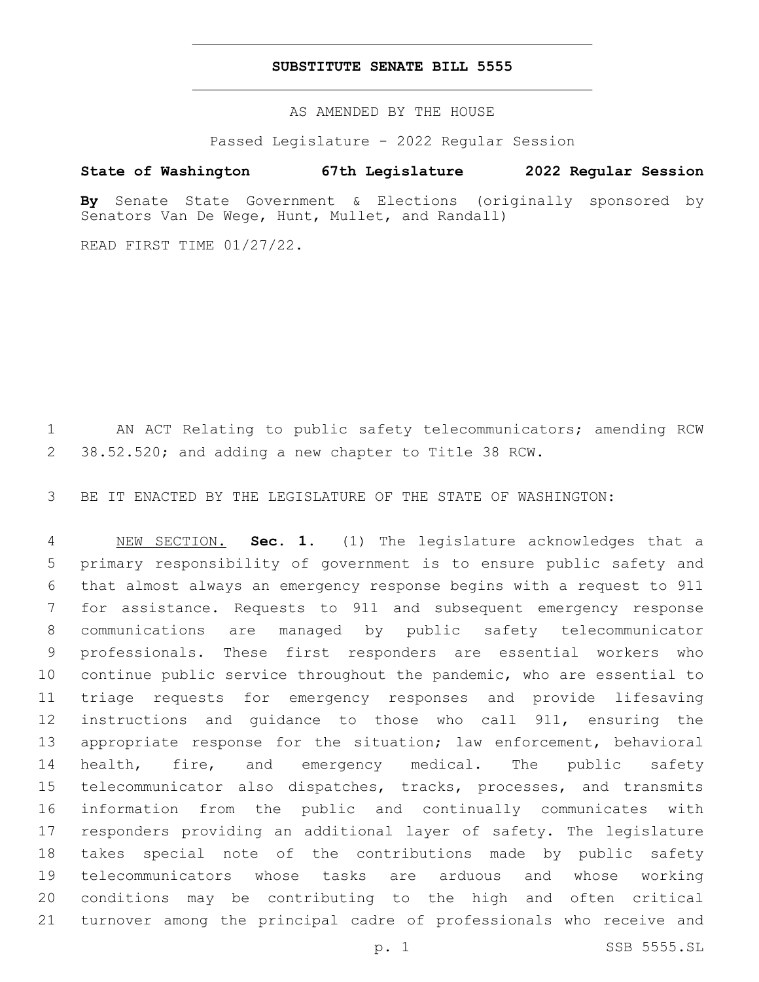### **SUBSTITUTE SENATE BILL 5555**

AS AMENDED BY THE HOUSE

Passed Legislature - 2022 Regular Session

# **State of Washington 67th Legislature 2022 Regular Session**

**By** Senate State Government & Elections (originally sponsored by Senators Van De Wege, Hunt, Mullet, and Randall)

READ FIRST TIME 01/27/22.

 AN ACT Relating to public safety telecommunicators; amending RCW 38.52.520; and adding a new chapter to Title 38 RCW.

BE IT ENACTED BY THE LEGISLATURE OF THE STATE OF WASHINGTON:

 NEW SECTION. **Sec. 1.** (1) The legislature acknowledges that a primary responsibility of government is to ensure public safety and that almost always an emergency response begins with a request to 911 for assistance. Requests to 911 and subsequent emergency response communications are managed by public safety telecommunicator professionals. These first responders are essential workers who continue public service throughout the pandemic, who are essential to triage requests for emergency responses and provide lifesaving instructions and guidance to those who call 911, ensuring the 13 appropriate response for the situation; law enforcement, behavioral 14 health, fire, and emergency medical. The public safety telecommunicator also dispatches, tracks, processes, and transmits information from the public and continually communicates with responders providing an additional layer of safety. The legislature takes special note of the contributions made by public safety telecommunicators whose tasks are arduous and whose working conditions may be contributing to the high and often critical turnover among the principal cadre of professionals who receive and

p. 1 SSB 5555.SL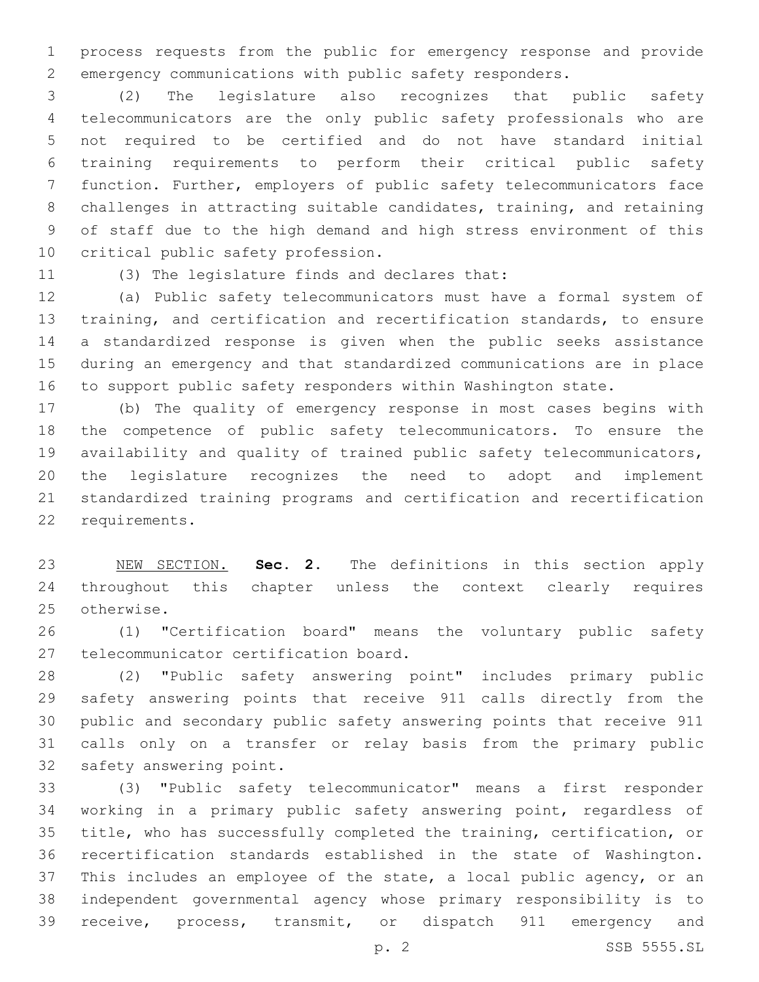process requests from the public for emergency response and provide emergency communications with public safety responders.

 (2) The legislature also recognizes that public safety telecommunicators are the only public safety professionals who are not required to be certified and do not have standard initial training requirements to perform their critical public safety function. Further, employers of public safety telecommunicators face challenges in attracting suitable candidates, training, and retaining of staff due to the high demand and high stress environment of this 10 critical public safety profession.

11 (3) The legislature finds and declares that:

 (a) Public safety telecommunicators must have a formal system of training, and certification and recertification standards, to ensure a standardized response is given when the public seeks assistance during an emergency and that standardized communications are in place to support public safety responders within Washington state.

 (b) The quality of emergency response in most cases begins with the competence of public safety telecommunicators. To ensure the availability and quality of trained public safety telecommunicators, the legislature recognizes the need to adopt and implement standardized training programs and certification and recertification 22 requirements.

 NEW SECTION. **Sec. 2.** The definitions in this section apply throughout this chapter unless the context clearly requires otherwise.

 (1) "Certification board" means the voluntary public safety 27 telecommunicator certification board.

 (2) "Public safety answering point" includes primary public safety answering points that receive 911 calls directly from the public and secondary public safety answering points that receive 911 calls only on a transfer or relay basis from the primary public 32 safety answering point.

 (3) "Public safety telecommunicator" means a first responder working in a primary public safety answering point, regardless of title, who has successfully completed the training, certification, or recertification standards established in the state of Washington. This includes an employee of the state, a local public agency, or an independent governmental agency whose primary responsibility is to receive, process, transmit, or dispatch 911 emergency and

p. 2 SSB 5555.SL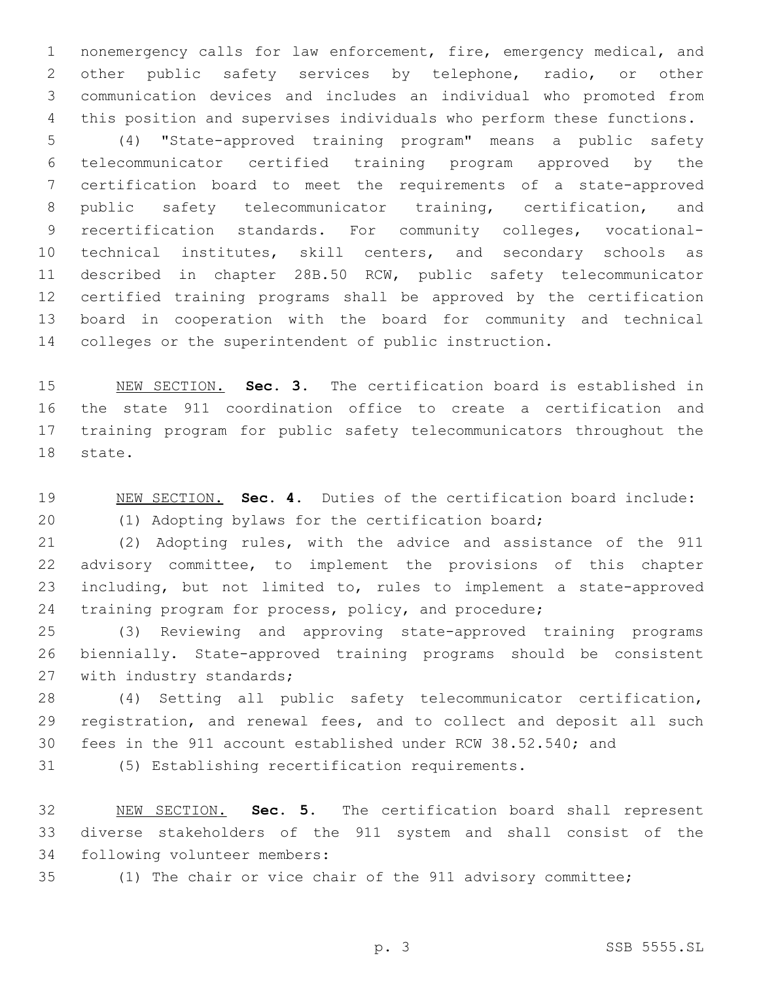nonemergency calls for law enforcement, fire, emergency medical, and other public safety services by telephone, radio, or other communication devices and includes an individual who promoted from this position and supervises individuals who perform these functions.

 (4) "State-approved training program" means a public safety telecommunicator certified training program approved by the certification board to meet the requirements of a state-approved public safety telecommunicator training, certification, and recertification standards. For community colleges, vocational- technical institutes, skill centers, and secondary schools as described in chapter 28B.50 RCW, public safety telecommunicator certified training programs shall be approved by the certification board in cooperation with the board for community and technical colleges or the superintendent of public instruction.

 NEW SECTION. **Sec. 3.** The certification board is established in the state 911 coordination office to create a certification and training program for public safety telecommunicators throughout the state.

 NEW SECTION. **Sec. 4.** Duties of the certification board include: (1) Adopting bylaws for the certification board;

 (2) Adopting rules, with the advice and assistance of the 911 advisory committee, to implement the provisions of this chapter including, but not limited to, rules to implement a state-approved training program for process, policy, and procedure;

 (3) Reviewing and approving state-approved training programs biennially. State-approved training programs should be consistent 27 with industry standards;

 (4) Setting all public safety telecommunicator certification, registration, and renewal fees, and to collect and deposit all such fees in the 911 account established under RCW 38.52.540; and

(5) Establishing recertification requirements.

 NEW SECTION. **Sec. 5.** The certification board shall represent diverse stakeholders of the 911 system and shall consist of the following volunteer members:

(1) The chair or vice chair of the 911 advisory committee;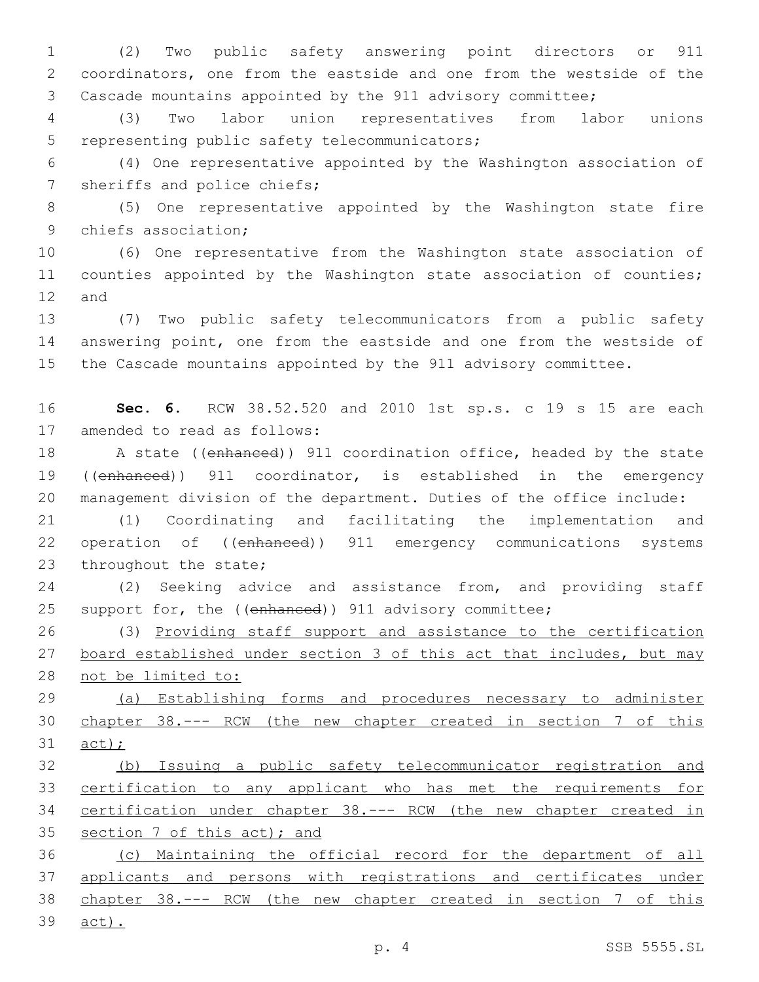(2) Two public safety answering point directors or 911 coordinators, one from the eastside and one from the westside of the Cascade mountains appointed by the 911 advisory committee;

 (3) Two labor union representatives from labor unions 5 representing public safety telecommunicators;

 (4) One representative appointed by the Washington association of 7 sheriffs and police chiefs;

 (5) One representative appointed by the Washington state fire 9 chiefs association;

 (6) One representative from the Washington state association of 11 counties appointed by the Washington state association of counties; 12 and

 (7) Two public safety telecommunicators from a public safety answering point, one from the eastside and one from the westside of the Cascade mountains appointed by the 911 advisory committee.

 **Sec. 6.** RCW 38.52.520 and 2010 1st sp.s. c 19 s 15 are each 17 amended to read as follows:

 A state ((enhanced)) 911 coordination office, headed by the state ((enhanced)) 911 coordinator, is established in the emergency management division of the department. Duties of the office include:

 (1) Coordinating and facilitating the implementation and operation of ((enhanced)) 911 emergency communications systems 23 throughout the state;

 (2) Seeking advice and assistance from, and providing staff 25 support for, the ((enhanced)) 911 advisory committee;

 (3) Providing staff support and assistance to the certification 27 board established under section 3 of this act that includes, but may not be limited to:

 (a) Establishing forms and procedures necessary to administer chapter 38.--- RCW (the new chapter created in section 7 of this act);

 (b) Issuing a public safety telecommunicator registration and certification to any applicant who has met the requirements for certification under chapter 38.--- RCW (the new chapter created in 35 section 7 of this act); and

 (c) Maintaining the official record for the department of all applicants and persons with registrations and certificates under chapter 38.--- RCW (the new chapter created in section 7 of this

act).